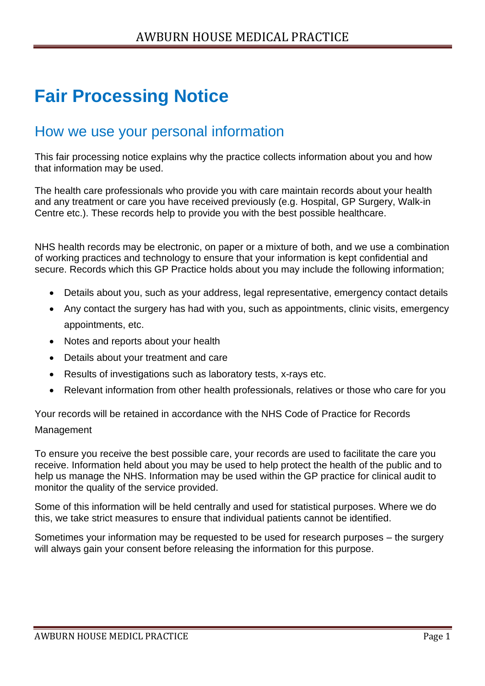# **Fair Processing Notice**

## How we use your personal information

This fair processing notice explains why the practice collects information about you and how that information may be used.

The health care professionals who provide you with care maintain records about your health and any treatment or care you have received previously (e.g. Hospital, GP Surgery, Walk-in Centre etc.). These records help to provide you with the best possible healthcare.

NHS health records may be electronic, on paper or a mixture of both, and we use a combination of working practices and technology to ensure that your information is kept confidential and secure. Records which this GP Practice holds about you may include the following information;

- Details about you, such as your address, legal representative, emergency contact details
- Any contact the surgery has had with you, such as appointments, clinic visits, emergency appointments, etc.
- Notes and reports about your health
- Details about your treatment and care
- Results of investigations such as laboratory tests, x-rays etc.
- Relevant information from other health professionals, relatives or those who care for you

Your records will be retained in accordance with the NHS Code of Practice for Records Management

To ensure you receive the best possible care, your records are used to facilitate the care you receive. Information held about you may be used to help protect the health of the public and to help us manage the NHS. Information may be used within the GP practice for clinical audit to monitor the quality of the service provided.

Some of this information will be held centrally and used for statistical purposes. Where we do this, we take strict measures to ensure that individual patients cannot be identified.

Sometimes your information may be requested to be used for research purposes – the surgery will always gain your consent before releasing the information for this purpose.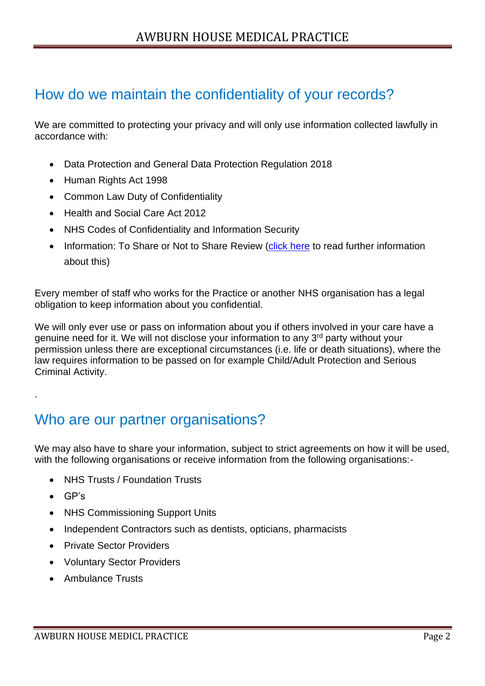# How do we maintain the confidentiality of your records?

We are committed to protecting your privacy and will only use information collected lawfully in accordance with:

- Data Protection and General Data Protection Regulation 2018
- Human Rights Act 1998
- Common Law Duty of Confidentiality
- Health and Social Care Act 2012
- NHS Codes of Confidentiality and Information Security
- Information: To Share or Not to Share Review [\(click here](https://www.gov.uk/government/uploads/system/uploads/attachment_data/file/192572/2900774_InfoGovernance_accv2.pdf) to read further information about this)

Every member of staff who works for the Practice or another NHS organisation has a legal obligation to keep information about you confidential.

We will only ever use or pass on information about you if others involved in your care have a genuine need for it. We will not disclose your information to any 3rd party without your permission unless there are exceptional circumstances (i.e. life or death situations), where the law requires information to be passed on for example Child/Adult Protection and Serious Criminal Activity.

# Who are our partner organisations?

We may also have to share your information, subject to strict agreements on how it will be used, with the following organisations or receive information from the following organisations:-

- NHS Trusts / Foundation Trusts
- GP's

.

- NHS Commissioning Support Units
- Independent Contractors such as dentists, opticians, pharmacists
- Private Sector Providers
- Voluntary Sector Providers
- Ambulance Trusts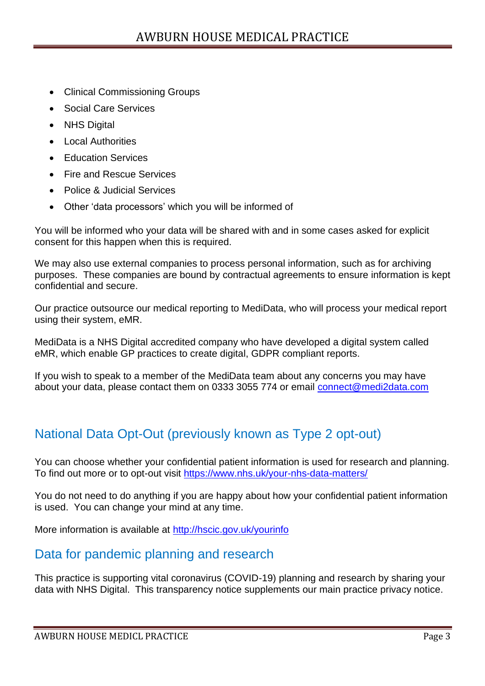- Clinical Commissioning Groups
- Social Care Services
- NHS Digital
- Local Authorities
- Education Services
- Fire and Rescue Services
- Police & Judicial Services
- Other 'data processors' which you will be informed of

You will be informed who your data will be shared with and in some cases asked for explicit consent for this happen when this is required.

We may also use external companies to process personal information, such as for archiving purposes. These companies are bound by contractual agreements to ensure information is kept confidential and secure.

Our practice outsource our medical reporting to MediData, who will process your medical report using their system, eMR.

MediData is a NHS Digital accredited company who have developed a digital system called eMR, which enable GP practices to create digital, GDPR compliant reports.

If you wish to speak to a member of the MediData team about any concerns you may have about your data, please contact them on 0333 3055 774 or email [connect@medi2data.com](mailto:connect@medi2data.com)

#### National Data Opt-Out (previously known as Type 2 opt-out)

You can choose whether your confidential patient information is used for research and planning. To find out more or to opt-out visit<https://www.nhs.uk/your-nhs-data-matters/>

You do not need to do anything if you are happy about how your confidential patient information is used. You can change your mind at any time.

More information is available at<http://hscic.gov.uk/yourinfo>

#### Data for pandemic planning and research

This practice is supporting vital coronavirus (COVID-19) planning and research by sharing your data with NHS Digital. This transparency notice supplements our main practice privacy notice.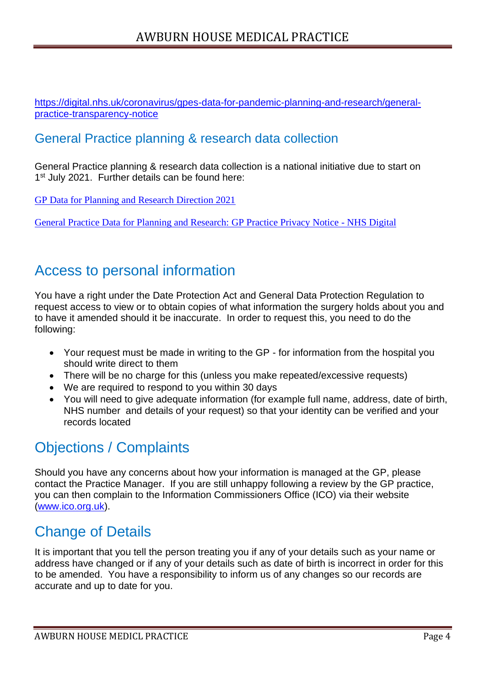[https://digital.nhs.uk/coronavirus/gpes-data-for-pandemic-planning-and-research/general](https://digital.nhs.uk/coronavirus/gpes-data-for-pandemic-planning-and-research/general-practice-transparency-notice)[practice-transparency-notice](https://digital.nhs.uk/coronavirus/gpes-data-for-pandemic-planning-and-research/general-practice-transparency-notice)

#### General Practice planning & research data collection

General Practice planning & research data collection is a national initiative due to start on 1<sup>st</sup> July 2021. Further details can be found here:

[GP Data for Planning and Research Direction 2021](http://url3019.emishealth.com/ls/click?upn=Cql9FT5Fm-2FKqCRm2SS0zaiVRDdcGKQc4rlD3JYfst9F6WJJkFw-2BcNiPSGwEwXmIRedIXnVUmzCqwGeXBshvNaYoKbm1I0TnQahtPZdXGQAv68DX5ZbwS1Mn6bqSf0H5og2Zsq2L1oEYEriDbaAmtei5m4aSkbarfM-2BsjLU85trZQh-2F1lq0i3sZntHmJ4GT-2BEoJb9yQAUpOAtJg61SVP7KhMenBX7XOz8IOQEdl2qXbdbHRIVGcEX7iiNCiSlsXR7ZLE4ruBj7NmVM-2FXreSwRbdxB-2BwSJBxVRoi3WdzHDecw-3D5its_-2FAUFPVQ1jSthe-2BuDCM0COGIsj0LpvqONDT9xhB04o4weI0wTaX8Bh1S9rH0MkdNYA2mZWuXAd6BCy-2BN-2BM-2B0QS1PBO0XK-2FHgk9UNLpaff2kOxjJVLlqJkz0u5Np9yZOzn13zkjWYefZlO3NKrrXrgiRxQrm-2FdlQCGo3D5FZ9zUmNebWmMCloAHAJdHURBc8EzxQqVCImXYYbo4aMpAz3lzA-3D-3D)

[General Practice Data for Planning and Research: GP Practice Privacy Notice -](https://digital.nhs.uk/data-and-information/data-collections-and-data-sets/data-collections/general-practice-data-for-planning-and-research/gp-privacy-notice) NHS Digital

## Access to personal information

You have a right under the Date Protection Act and General Data Protection Regulation to request access to view or to obtain copies of what information the surgery holds about you and to have it amended should it be inaccurate. In order to request this, you need to do the following:

- Your request must be made in writing to the GP for information from the hospital you should write direct to them
- There will be no charge for this (unless you make repeated/excessive requests)
- We are required to respond to you within 30 days
- You will need to give adequate information (for example full name, address, date of birth, NHS number and details of your request) so that your identity can be verified and your records located

# Objections / Complaints

Should you have any concerns about how your information is managed at the GP, please contact the Practice Manager. If you are still unhappy following a review by the GP practice, you can then complain to the Information Commissioners Office (ICO) via their website [\(www.ico.org.uk\)](http://www.ico.org.uk/).

# Change of Details

It is important that you tell the person treating you if any of your details such as your name or address have changed or if any of your details such as date of birth is incorrect in order for this to be amended. You have a responsibility to inform us of any changes so our records are accurate and up to date for you.